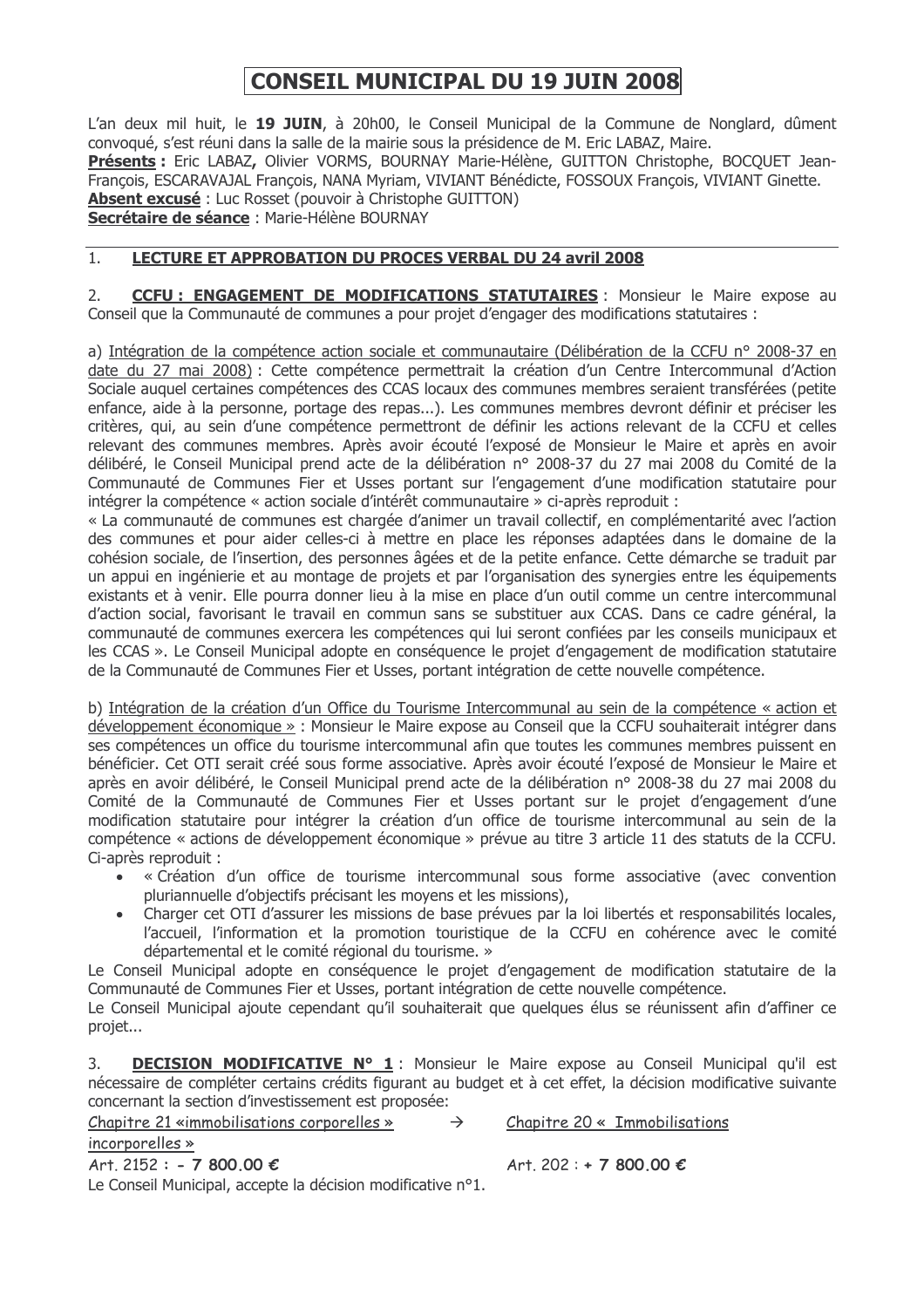# **CONSEIL MUNICIPAL DU 19 JUIN 2008**

L'an deux mil huit, le 19 JUIN, à 20h00, le Conseil Municipal de la Commune de Nonglard, dûment convoqué, s'est réuni dans la salle de la mairie sous la présidence de M. Eric LABAZ, Maire. Présents : Eric LABAZ, Olivier VORMS, BOURNAY Marie-Hélène, GUITTON Christophe, BOCQUET Jean-François, ESCARAVAJAL François, NANA Myriam, VIVIANT Bénédicte, FOSSOUX François, VIVIANT Ginette. Absent excusé : Luc Rosset (pouvoir à Christophe GUITTON) Secrétaire de séance : Marie-Hélène BOURNAY

### $\overline{1}$ . **LECTURE ET APPROBATION DU PROCES VERBAL DU 24 avril 2008**

**CCFU: ENGAGEMENT DE MODIFICATIONS STATUTAIRES**: Monsieur le Maire expose au  $2.$ Conseil que la Communauté de communes a pour projet d'engager des modifications statutaires :

a) Intégration de la compétence action sociale et communautaire (Délibération de la CCFU nº 2008-37 en date du 27 mai 2008) : Cette compétence permettrait la création d'un Centre Intercommunal d'Action Sociale auguel certaines compétences des CCAS locaux des communes membres seraient transférées (petite enfance, aide à la personne, portage des repas...). Les communes membres devront définir et préciser les critères, qui, au sein d'une compétence permettront de définir les actions relevant de la CCFU et celles relevant des communes membres. Après avoir écouté l'exposé de Monsieur le Maire et après en avoir délibéré, le Conseil Municipal prend acte de la délibération nº 2008-37 du 27 mai 2008 du Comité de la Communauté de Communes Fier et Usses portant sur l'engagement d'une modification statutaire pour intégrer la compétence « action sociale d'intérêt communautaire » ci-après reproduit :

« La communauté de communes est chargée d'animer un travail collectif, en complémentarité avec l'action des communes et pour aider celles-ci à mettre en place les réponses adaptées dans le domaine de la cohésion sociale, de l'insertion, des personnes âgées et de la petite enfance. Cette démarche se traduit par un appui en ingénierie et au montage de projets et par l'organisation des synergies entre les équipements existants et à venir. Elle pourra donner lieu à la mise en place d'un outil comme un centre intercommunal d'action social, favorisant le travail en commun sans se substituer aux CCAS. Dans ce cadre général, la communauté de communes exercera les compétences qui lui seront confiées par les conseils municipaux et les CCAS ». Le Conseil Municipal adopte en conséquence le projet d'engagement de modification statutaire de la Communauté de Communes Fier et Usses, portant intégration de cette nouvelle compétence.

b) Intégration de la création d'un Office du Tourisme Intercommunal au sein de la compétence « action et développement économique » : Monsieur le Maire expose au Conseil que la CCFU souhaiterait intégrer dans ses compétences un office du tourisme intercommunal afin que toutes les communes membres puissent en bénéficier. Cet OTI serait créé sous forme associative. Après avoir écouté l'exposé de Monsieur le Maire et après en avoir délibéré, le Conseil Municipal prend acte de la délibération n° 2008-38 du 27 mai 2008 du Comité de la Communauté de Communes Fier et Usses portant sur le projet d'engagement d'une modification statutaire pour intégrer la création d'un office de tourisme intercommunal au sein de la compétence « actions de développement économique » prévue au titre 3 article 11 des statuts de la CCFU. Ci-après reproduit :

- « Création d'un office de tourisme intercommunal sous forme associative (avec convention pluriannuelle d'objectifs précisant les moyens et les missions),
- Charger cet OTI d'assurer les missions de base prévues par la loi libertés et responsabilités locales, l'accueil, l'information et la promotion touristique de la CCFU en cohérence avec le comité départemental et le comité régional du tourisme. »

Le Conseil Municipal adopte en conséquence le projet d'engagement de modification statutaire de la Communauté de Communes Fier et Usses, portant intégration de cette nouvelle compétence.

Le Conseil Municipal ajoute cependant qu'il souhaiterait que quelques élus se réunissent afin d'affiner ce projet...

**DECISION MODIFICATIVE Nº 1**: Monsieur le Maire expose au Conseil Municipal qu'il est  $\overline{3}$ . nécessaire de compléter certains crédits figurant au budget et à cet effet, la décision modificative suivante concernant la section d'investissement est proposée:

Chapitre 21 «immobilisations corporelles » Chapitre 20 « Immobilisations incorporelles » Art. 2152 : - 7 800.00 € Art. 202 : + 7 800.00 €

Le Conseil Municipal, accepte la décision modificative n°1.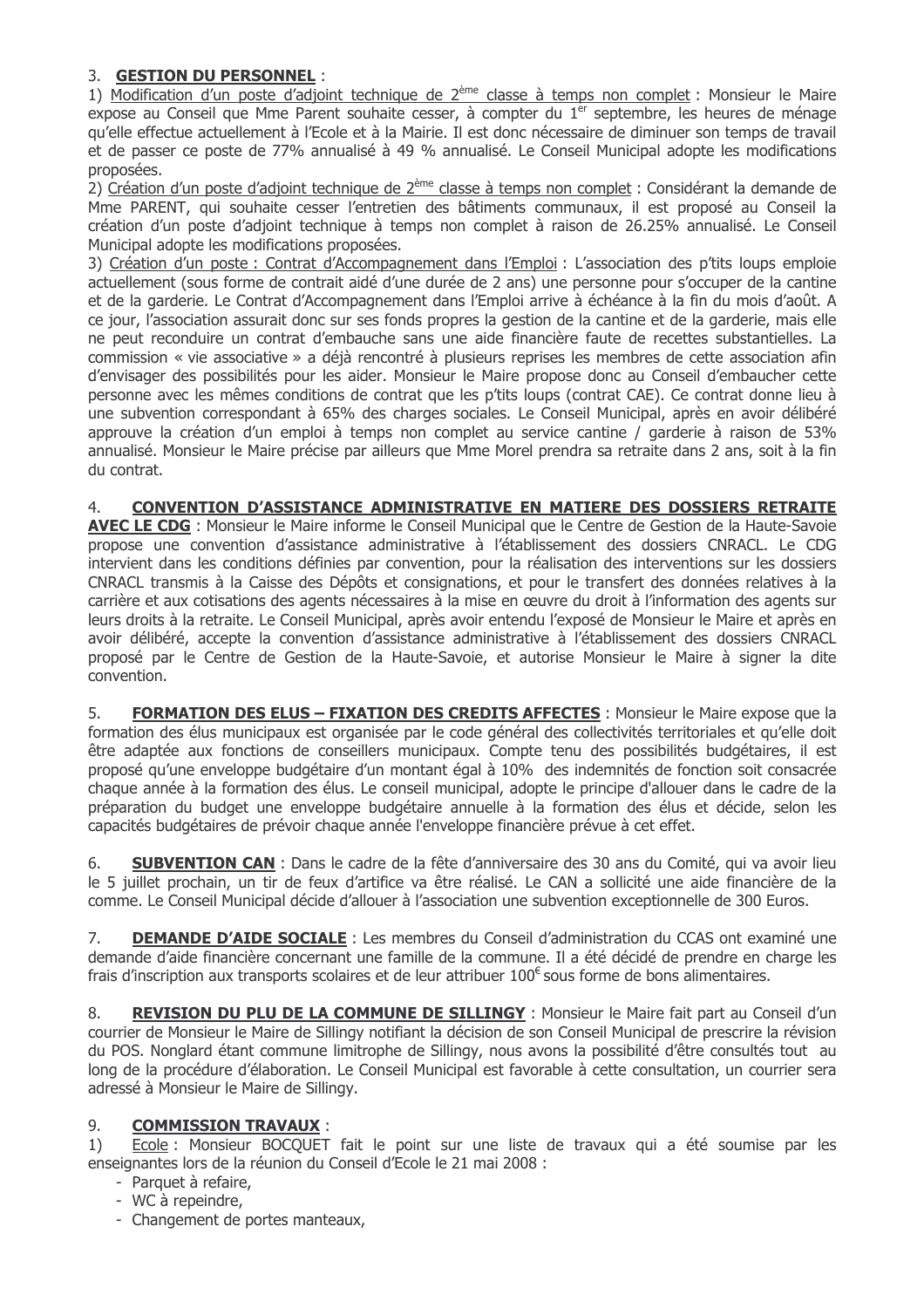# 3. GESTION DU PERSONNEL :

1) Modification d'un poste d'adjoint technique de 2<sup>ème</sup> classe à temps non complet : Monsieur le Maire expose au Conseil que Mme Parent souhaite cesser, à compter du 1<sup>er</sup> septembre, les heures de ménage qu'elle effectue actuellement à l'Ecole et à la Mairie. Il est donc nécessaire de diminuer son temps de travail et de passer ce poste de 77% annualisé à 49 % annualisé. Le Conseil Municipal adopte les modifications proposées.

2) Création d'un poste d'adjoint technique de 2<sup>ème</sup> classe à temps non complet : Considérant la demande de Mme PARENT, qui souhaite cesser l'entretien des bâtiments communaux, il est proposé au Conseil la création d'un poste d'adjoint technique à temps non complet à raison de 26.25% annualisé. Le Conseil Municipal adopte les modifications proposées.

3) Création d'un poste : Contrat d'Accompagnement dans l'Emploi : L'association des p'tits loups emploie actuellement (sous forme de contrait aidé d'une durée de 2 ans) une personne pour s'occuper de la cantine et de la garderie. Le Contrat d'Accompagnement dans l'Emploi arrive à échéance à la fin du mois d'août. A ce jour, l'association assurait donc sur ses fonds propres la gestion de la cantine et de la garderie, mais elle ne peut reconduire un contrat d'embauche sans une aide financière faute de recettes substantielles. La commission « vie associative » a déjà rencontré à plusieurs reprises les membres de cette association afin d'envisager des possibilités pour les aider. Monsieur le Maire propose donc au Conseil d'embaucher cette personne avec les mêmes conditions de contrat que les p'tits loups (contrat CAE). Ce contrat donne lieu à une subvention correspondant à 65% des charges sociales. Le Conseil Municipal, après en avoir délibéré approuve la création d'un emploi à temps non complet au service cantine / garderie à raison de 53% annualisé. Monsieur le Maire précise par ailleurs que Mme Morel prendra sa retraite dans 2 ans, soit à la fin du contrat.

#### $\overline{4}$ CONVENTION D'ASSISTANCE ADMINISTRATIVE EN MATIERE DES DOSSIERS RETRAITE

AVEC LE CDG : Monsieur le Maire informe le Conseil Municipal que le Centre de Gestion de la Haute-Savoie propose une convention d'assistance administrative à l'établissement des dossiers CNRACL. Le CDG intervient dans les conditions définies par convention, pour la réalisation des interventions sur les dossiers CNRACL transmis à la Caisse des Dépôts et consignations, et pour le transfert des données relatives à la carrière et aux cotisations des agents nécessaires à la mise en œuvre du droit à l'information des agents sur leurs droits à la retraite. Le Conseil Municipal, après avoir entendu l'exposé de Monsieur le Maire et après en avoir délibéré, accepte la convention d'assistance administrative à l'établissement des dossiers CNRACL proposé par le Centre de Gestion de la Haute-Savoie, et autorise Monsieur le Maire à signer la dite convention.

5. **FORMATION DES ELUS - FIXATION DES CREDITS AFFECTES : Monsieur le Maire expose que la** formation des élus municipaux est organisée par le code général des collectivités territoriales et qu'elle doit être adaptée aux fonctions de conseillers municipaux. Compte tenu des possibilités budgétaires, il est proposé qu'une enveloppe budgétaire d'un montant égal à 10% des indemnités de fonction soit consacrée chaque année à la formation des élus. Le conseil municipal, adopte le principe d'allouer dans le cadre de la préparation du budget une enveloppe budgétaire annuelle à la formation des élus et décide, selon les capacités budgétaires de prévoir chaque année l'enveloppe financière prévue à cet effet.

**SUBVENTION CAN** : Dans le cadre de la fête d'anniversaire des 30 ans du Comité, qui va avoir lieu 6. le 5 juillet prochain, un tir de feux d'artifice va être réalisé. Le CAN a sollicité une aide financière de la comme. Le Conseil Municipal décide d'allouer à l'association une subvention exceptionnelle de 300 Euros.

**DEMANDE D'AIDE SOCIALE** : Les membres du Conseil d'administration du CCAS ont examiné une 7. demande d'aide financière concernant une famille de la commune. Il a été décidé de prendre en charge les frais d'inscription aux transports scolaires et de leur attribuer  $100^{\epsilon}$  sous forme de bons alimentaires.

8. REVISION DU PLU DE LA COMMUNE DE SILLINGY : Monsieur le Maire fait part au Conseil d'un courrier de Monsieur le Maire de Sillingy notifiant la décision de son Conseil Municipal de prescrire la révision du POS. Nonglard étant commune limitrophe de Sillingy, nous avons la possibilité d'être consultés tout au long de la procédure d'élaboration. Le Conseil Municipal est favorable à cette consultation, un courrier sera adressé à Monsieur le Maire de Sillingy.

## **COMMISSION TRAVAUX:** 9.

 $1)$ Ecole : Monsieur BOCQUET fait le point sur une liste de travaux qui a été soumise par les enseignantes lors de la réunion du Conseil d'Ecole le 21 mai 2008 :

- Parquet à refaire,
- WC à repeindre,
- Changement de portes manteaux,